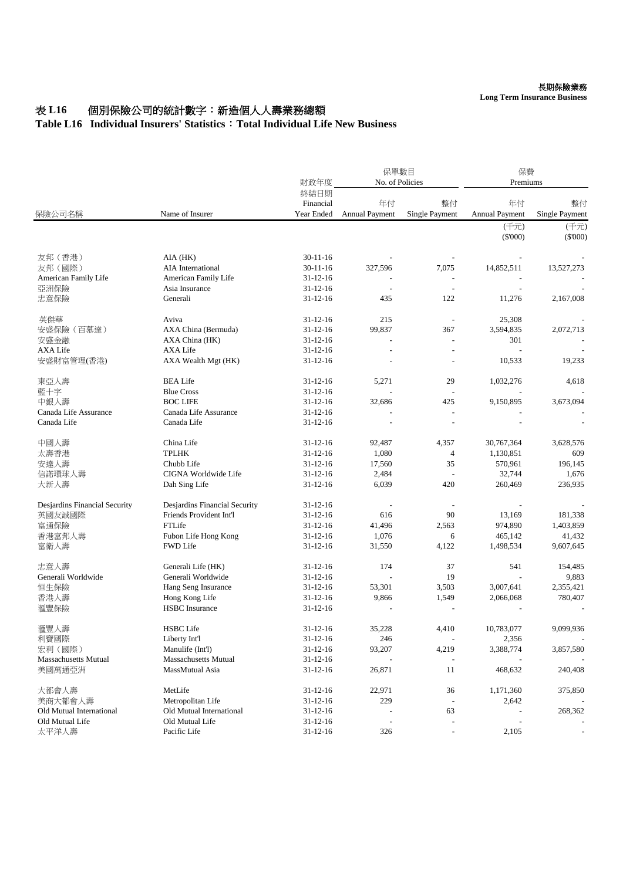## 表 L16 個別保險公司的統計數字: 新造個人人壽業務總額

## **Table L16 Individual Insurers' Statistics**:**Total Individual Life New Business**

| 保險公司名稱                        | Name of Insurer               | 財政年度                            | 保單數目<br>No. of Policies     |                          | 保費<br>Premiums       |                      |
|-------------------------------|-------------------------------|---------------------------------|-----------------------------|--------------------------|----------------------|----------------------|
|                               |                               | 終結日期<br>Financial<br>Year Ended | 年付<br><b>Annual Payment</b> | 整付<br>Single Payment     | 年付<br>Annual Payment | 整付<br>Single Payment |
|                               |                               |                                 |                             |                          | (千元)<br>$(\$'000)$   | (千元)<br>$(\$'000)$   |
| 友邦 (香港)                       | AIA (HK)                      | $30 - 11 - 16$                  |                             |                          |                      |                      |
| 友邦 (國際)                       | AIA International             | $30 - 11 - 16$                  | 327,596                     | 7,075                    | 14,852,511           | 13,527,273           |
| American Family Life          | American Family Life          | $31 - 12 - 16$                  |                             |                          |                      |                      |
| 亞洲保險                          | Asia Insurance                | $31 - 12 - 16$                  |                             |                          |                      |                      |
| 忠意保險                          | Generali                      | $31 - 12 - 16$                  | 435                         | 122                      | 11,276               | 2,167,008            |
| 英傑華                           | Aviva                         | $31 - 12 - 16$                  | 215                         |                          | 25,308               |                      |
| 安盛保險 (百慕達)                    | AXA China (Bermuda)           | $31 - 12 - 16$                  | 99,837                      | 367                      | 3,594,835            | 2,072,713            |
| 安盛金融                          | AXA China (HK)                | $31 - 12 - 16$                  |                             |                          | 301                  |                      |
| <b>AXA Life</b>               | <b>AXA Life</b>               | $31 - 12 - 16$                  |                             |                          |                      |                      |
| 安盛財富管理(香港)                    | AXA Wealth Mgt (HK)           | $31 - 12 - 16$                  |                             |                          | 10,533               | 19,233               |
| 東亞人壽                          | <b>BEA Life</b>               | $31 - 12 - 16$                  | 5,271                       | 29                       | 1,032,276            | 4,618                |
| 藍十字                           | <b>Blue Cross</b>             | $31 - 12 - 16$                  |                             |                          |                      |                      |
| 中銀人壽                          | <b>BOC LIFE</b>               | $31 - 12 - 16$                  | 32,686                      | 425                      | 9,150,895            | 3,673,094            |
| Canada Life Assurance         | Canada Life Assurance         | $31 - 12 - 16$                  |                             |                          |                      |                      |
| Canada Life                   | Canada Life                   | $31 - 12 - 16$                  |                             |                          |                      |                      |
| 中國人壽                          | China Life                    | $31 - 12 - 16$                  | 92,487                      | 4,357                    | 30,767,364           | 3,628,576            |
| 太壽香港                          | <b>TPLHK</b>                  | $31 - 12 - 16$                  | 1,080                       | 4                        | 1,130,851            | 609                  |
| 安達人壽                          | Chubb Life                    | $31 - 12 - 16$                  | 17,560                      | 35                       | 570,961              | 196,145              |
| 信諾環球人壽                        | CIGNA Worldwide Life          | $31 - 12 - 16$                  | 2,484                       |                          | 32,744               | 1,676                |
| 大新人壽                          | Dah Sing Life                 | $31 - 12 - 16$                  | 6,039                       | 420                      | 260,469              | 236,935              |
| Desjardins Financial Security | Desjardins Financial Security | $31 - 12 - 16$                  |                             |                          |                      |                      |
| 英國友誠國際                        | Friends Provident Int'l       | $31 - 12 - 16$                  | 616                         | 90                       | 13,169               | 181,338              |
| 富通保險                          | FTLife                        | $31 - 12 - 16$                  | 41,496                      | 2,563                    | 974,890              | 1,403,859            |
| 香港富邦人壽                        | Fubon Life Hong Kong          | $31 - 12 - 16$                  | 1,076                       | 6                        | 465,142              | 41,432               |
| 富衛人壽                          | <b>FWD Life</b>               | $31 - 12 - 16$                  | 31,550                      | 4,122                    | 1,498,534            | 9,607,645            |
| 忠意人壽                          | Generali Life (HK)            | $31 - 12 - 16$                  | 174                         | 37                       | 541                  | 154,485              |
| Generali Worldwide            | Generali Worldwide            | $31 - 12 - 16$                  |                             | 19                       |                      | 9,883                |
| 恒生保險                          | Hang Seng Insurance           | $31 - 12 - 16$                  | 53,301                      | 3,503                    | 3,007,641            | 2,355,421            |
| 香港人壽                          | Hong Kong Life                | $31 - 12 - 16$                  | 9,866                       | 1,549                    | 2,066,068            | 780,407              |
| 滙豐保險                          | <b>HSBC</b> Insurance         | $31 - 12 - 16$                  |                             |                          |                      |                      |
| 滙豐人壽                          | <b>HSBC</b> Life              | $31 - 12 - 16$                  | 35,228                      | 4,410                    | 10,783,077           | 9,099,936            |
| 利寶國際                          | Liberty Int'l                 | $31 - 12 - 16$                  | 246                         | $\blacksquare$           | 2,356                |                      |
| 宏利 (國際)                       | Manulife (Int'l)              | $31 - 12 - 16$                  | 93,207                      | 4,219                    | 3,388,774            | 3,857,580            |
| Massachusetts Mutual          | <b>Massachusetts Mutual</b>   | $31 - 12 - 16$                  |                             |                          |                      |                      |
| 美國萬通亞洲                        | MassMutual Asia               | $31 - 12 - 16$                  | 26,871                      | 11                       | 468,632              | 240,408              |
| 大都會人壽                         | MetLife                       | $31 - 12 - 16$                  | 22,971                      | 36                       | 1,171,360            | 375,850              |
| 美商大都會人壽                       | Metropolitan Life             | $31 - 12 - 16$                  | 229                         | $\overline{\phantom{a}}$ | 2,642                |                      |
| Old Mutual International      | Old Mutual International      | $31 - 12 - 16$                  |                             | 63                       |                      | 268,362              |
| Old Mutual Life               | Old Mutual Life               | $31 - 12 - 16$                  |                             |                          |                      |                      |
| 太平洋人壽                         | Pacific Life                  | $31 - 12 - 16$                  | 326                         | $\overline{\phantom{a}}$ | 2,105                |                      |